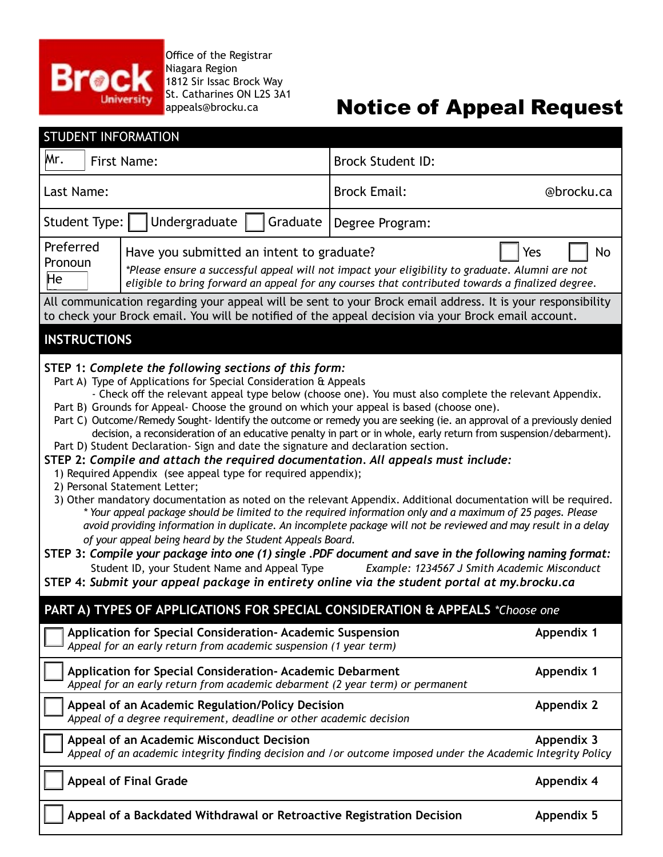

**Office of the Registrar** Niagara Region 1812 Sir Issac Brock Way St. Catharines ON L2S 3A1 appeals@brocku.ca

# Notice of Appeal Request

| <b>STUDENT INFORMATION</b>                                                                                                                                                                                                                                                                                                                                                                                                                                                                                                                                                                                                                                                                                                                                                                                                                                                                                                                                                                                                                                                                                                                                                                                                                                                                                                                                                                                                                                                                                                                                                         |                                                                                                                                 |                          |                                                                                                      |                   |
|------------------------------------------------------------------------------------------------------------------------------------------------------------------------------------------------------------------------------------------------------------------------------------------------------------------------------------------------------------------------------------------------------------------------------------------------------------------------------------------------------------------------------------------------------------------------------------------------------------------------------------------------------------------------------------------------------------------------------------------------------------------------------------------------------------------------------------------------------------------------------------------------------------------------------------------------------------------------------------------------------------------------------------------------------------------------------------------------------------------------------------------------------------------------------------------------------------------------------------------------------------------------------------------------------------------------------------------------------------------------------------------------------------------------------------------------------------------------------------------------------------------------------------------------------------------------------------|---------------------------------------------------------------------------------------------------------------------------------|--------------------------|------------------------------------------------------------------------------------------------------|-------------------|
| Mr.<br><b>First Name:</b>                                                                                                                                                                                                                                                                                                                                                                                                                                                                                                                                                                                                                                                                                                                                                                                                                                                                                                                                                                                                                                                                                                                                                                                                                                                                                                                                                                                                                                                                                                                                                          |                                                                                                                                 | <b>Brock Student ID:</b> |                                                                                                      |                   |
| Last Name:                                                                                                                                                                                                                                                                                                                                                                                                                                                                                                                                                                                                                                                                                                                                                                                                                                                                                                                                                                                                                                                                                                                                                                                                                                                                                                                                                                                                                                                                                                                                                                         |                                                                                                                                 | <b>Brock Email:</b>      | @brocku.ca                                                                                           |                   |
| Student Type:                                                                                                                                                                                                                                                                                                                                                                                                                                                                                                                                                                                                                                                                                                                                                                                                                                                                                                                                                                                                                                                                                                                                                                                                                                                                                                                                                                                                                                                                                                                                                                      | Undergraduate                                                                                                                   | Graduate                 | Degree Program:                                                                                      |                   |
| Preferred<br>Have you submitted an intent to graduate?<br>Yes<br>No<br>Pronoun<br>*Please ensure a successful appeal will not impact your eligibility to graduate. Alumni are not<br>He<br>eligible to bring forward an appeal for any courses that contributed towards a finalized degree.<br>All communication regarding your appeal will be sent to your Brock email address. It is your responsibility                                                                                                                                                                                                                                                                                                                                                                                                                                                                                                                                                                                                                                                                                                                                                                                                                                                                                                                                                                                                                                                                                                                                                                         |                                                                                                                                 |                          |                                                                                                      |                   |
| <b>INSTRUCTIONS</b>                                                                                                                                                                                                                                                                                                                                                                                                                                                                                                                                                                                                                                                                                                                                                                                                                                                                                                                                                                                                                                                                                                                                                                                                                                                                                                                                                                                                                                                                                                                                                                |                                                                                                                                 |                          | to check your Brock email. You will be notified of the appeal decision via your Brock email account. |                   |
| STEP 1: Complete the following sections of this form:<br>Part A) Type of Applications for Special Consideration & Appeals<br>- Check off the relevant appeal type below (choose one). You must also complete the relevant Appendix.<br>Part B) Grounds for Appeal- Choose the ground on which your appeal is based (choose one).<br>Part C) Outcome/Remedy Sought-Identify the outcome or remedy you are seeking (ie. an approval of a previously denied<br>decision, a reconsideration of an educative penalty in part or in whole, early return from suspension/debarment).<br>Part D) Student Declaration- Sign and date the signature and declaration section.<br>STEP 2: Compile and attach the required documentation. All appeals must include:<br>1) Required Appendix (see appeal type for required appendix);<br>2) Personal Statement Letter;<br>3) Other mandatory documentation as noted on the relevant Appendix. Additional documentation will be required.<br>* Your appeal package should be limited to the required information only and a maximum of 25 pages. Please<br>avoid providing information in duplicate. An incomplete package will not be reviewed and may result in a delay<br>of your appeal being heard by the Student Appeals Board.<br>STEP 3: Compile your package into one (1) single .PDF document and save in the following naming format:<br>Example: 1234567 J Smith Academic Misconduct<br>Student ID, your Student Name and Appeal Type<br>STEP 4: Submit your appeal package in entirety online via the student portal at my.brocku.ca |                                                                                                                                 |                          |                                                                                                      |                   |
|                                                                                                                                                                                                                                                                                                                                                                                                                                                                                                                                                                                                                                                                                                                                                                                                                                                                                                                                                                                                                                                                                                                                                                                                                                                                                                                                                                                                                                                                                                                                                                                    |                                                                                                                                 |                          | PART A) TYPES OF APPLICATIONS FOR SPECIAL CONSIDERATION & APPEALS *Choose one                        |                   |
|                                                                                                                                                                                                                                                                                                                                                                                                                                                                                                                                                                                                                                                                                                                                                                                                                                                                                                                                                                                                                                                                                                                                                                                                                                                                                                                                                                                                                                                                                                                                                                                    | Application for Special Consideration- Academic Suspension<br>Appeal for an early return from academic suspension (1 year term) |                          |                                                                                                      | Appendix 1        |
|                                                                                                                                                                                                                                                                                                                                                                                                                                                                                                                                                                                                                                                                                                                                                                                                                                                                                                                                                                                                                                                                                                                                                                                                                                                                                                                                                                                                                                                                                                                                                                                    | Application for Special Consideration- Academic Debarment                                                                       |                          | Appeal for an early return from academic debarment (2 year term) or permanent                        | <b>Appendix 1</b> |
|                                                                                                                                                                                                                                                                                                                                                                                                                                                                                                                                                                                                                                                                                                                                                                                                                                                                                                                                                                                                                                                                                                                                                                                                                                                                                                                                                                                                                                                                                                                                                                                    | Appeal of an Academic Regulation/Policy Decision<br>Appeal of a degree requirement, deadline or other academic decision         |                          |                                                                                                      | <b>Appendix 2</b> |
| Appeal of an Academic Misconduct Decision<br>Appeal of an academic integrity finding decision and /or outcome imposed under the Academic Integrity Policy                                                                                                                                                                                                                                                                                                                                                                                                                                                                                                                                                                                                                                                                                                                                                                                                                                                                                                                                                                                                                                                                                                                                                                                                                                                                                                                                                                                                                          |                                                                                                                                 |                          | Appendix 3                                                                                           |                   |
|                                                                                                                                                                                                                                                                                                                                                                                                                                                                                                                                                                                                                                                                                                                                                                                                                                                                                                                                                                                                                                                                                                                                                                                                                                                                                                                                                                                                                                                                                                                                                                                    | <b>Appeal of Final Grade</b>                                                                                                    |                          |                                                                                                      | <b>Appendix 4</b> |
|                                                                                                                                                                                                                                                                                                                                                                                                                                                                                                                                                                                                                                                                                                                                                                                                                                                                                                                                                                                                                                                                                                                                                                                                                                                                                                                                                                                                                                                                                                                                                                                    | Appeal of a Backdated Withdrawal or Retroactive Registration Decision                                                           |                          |                                                                                                      | <b>Appendix 5</b> |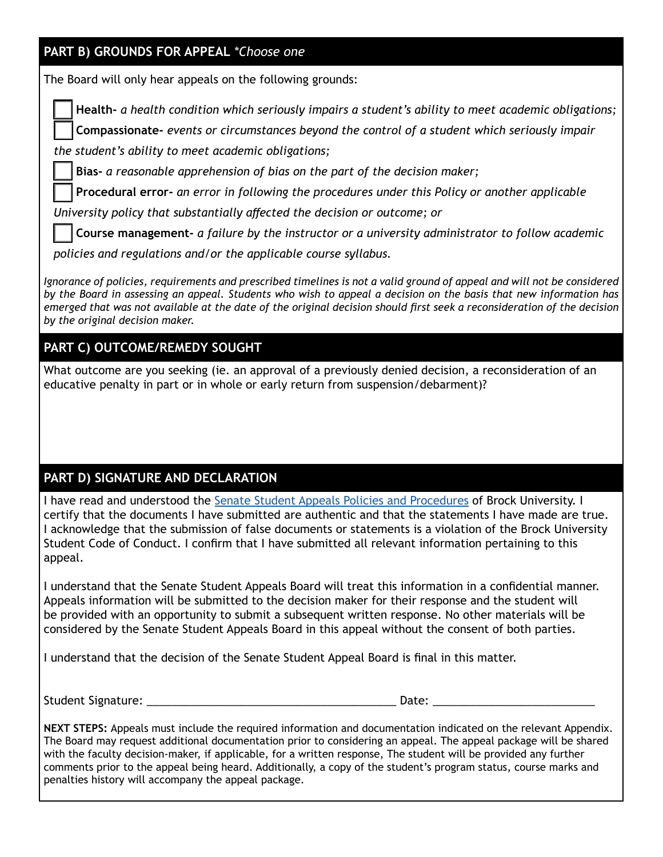#### **PART B) GROUNDS FOR APPEAL** *\*Choose one*

The Board will only hear appeals on the following grounds:

**Health-** *a health condition which seriously impairs a student's ability to meet academic obligations;*

 **Compassionate-** *events or circumstances beyond the control of a student which seriously impair* 

*the student's ability to meet academic obligations;*

 **Bias-** *a reasonable apprehension of bias on the part of the decision maker;*

 **Procedural error-** *an error in following the procedures under this Policy or another applicable* 

*University policy that substantially affected the decision or outcome; or*

 **Course management-** *a failure by the instructor or a university administrator to follow academic* 

*policies and regulations and/or the applicable course syllabus.*

*Ignorance of policies, requirements and prescribed timelines is not a valid ground of appeal and will not be considered by the Board in assessing an appeal. Students who wish to appeal a decision on the basis that new information has emerged that was not available at the date of the original decision should first seek a reconsideration of the decision by the original decision maker.*

### **PART C) OUTCOME/REMEDY SOUGHT**

What outcome are you seeking (ie. an approval of a previously denied decision, a reconsideration of an educative penalty in part or in whole or early return from suspension/debarment)?

#### **PART D) SIGNATURE AND DECLARATION**

I have read and understood the Senate Student Appeals Policies and Procedures of Brock University. I certify that the documents I have submitted are authentic and that the statements I have made are true. I acknowledge that the submission of false documents or statements is a violation of the Brock University Student Code of Conduct. I confirm that I have submitted all relevant information pertaining to this appeal.

I understand that the Senate Student Appeals Board will treat this information in a confidential manner. Appeals information will be submitted to the decision maker for their response and the student will be provided with an opportunity to submit a subsequent written response. No other materials will be considered by the Senate Student Appeals Board in this appeal without the consent of both parties.

I understand that the decision of the Senate Student Appeal Board is final in this matter.

Student Signature: \_\_\_\_\_\_\_\_\_\_\_\_\_\_\_\_\_\_\_\_\_\_\_\_\_\_\_\_\_\_\_\_\_\_\_\_\_\_\_\_ Date: \_\_\_\_\_\_\_\_\_\_\_\_\_\_\_\_\_\_\_\_\_\_\_\_\_\_

**NEXT STEPS:** Appeals must include the required information and documentation indicated on the relevant Appendix. The Board may request additional documentation prior to considering an appeal. The appeal package will be shared with the faculty decision-maker, if applicable, for a written response, The student will be provided any further comments prior to the appeal being heard. Additionally, a copy of the student's program status, course marks and penalties history will accompany the appeal package.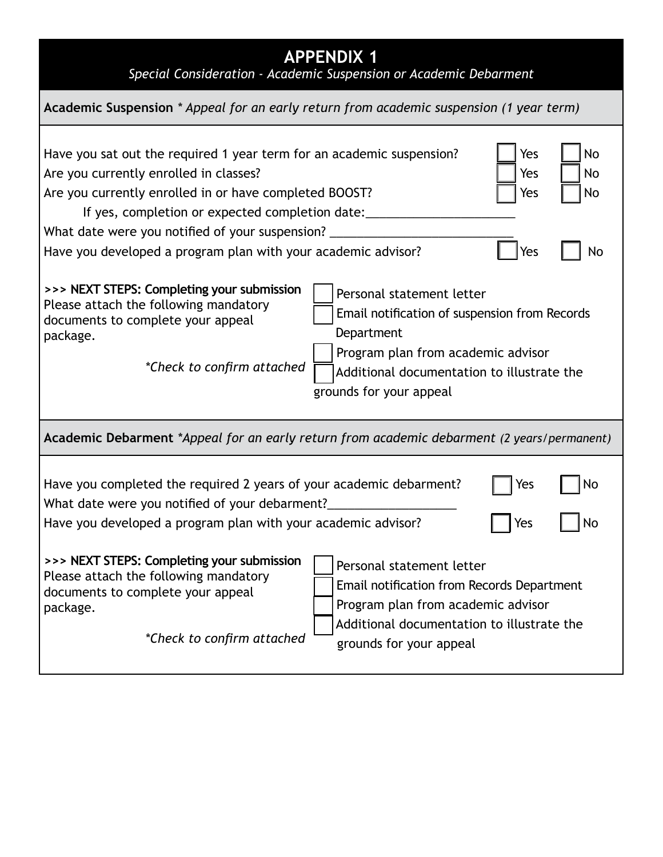| <b>APPENDIX 1</b><br>Special Consideration - Academic Suspension or Academic Debarment                                                                                                                                                                                                                                                                                        |  |  |  |  |  |
|-------------------------------------------------------------------------------------------------------------------------------------------------------------------------------------------------------------------------------------------------------------------------------------------------------------------------------------------------------------------------------|--|--|--|--|--|
| Academic Suspension * Appeal for an early return from academic suspension (1 year term)                                                                                                                                                                                                                                                                                       |  |  |  |  |  |
| Yes<br>No<br>Have you sat out the required 1 year term for an academic suspension?<br>Are you currently enrolled in classes?<br>Yes<br>No<br>Are you currently enrolled in or have completed BOOST?<br>Yes<br>No<br>If yes, completion or expected completion date:                                                                                                           |  |  |  |  |  |
| What date were you notified of your suspension? _<br>Have you developed a program plan with your academic advisor?<br>Yes<br>No                                                                                                                                                                                                                                               |  |  |  |  |  |
| >>> NEXT STEPS: Completing your submission<br>Personal statement letter<br>Please attach the following mandatory<br>Email notification of suspension from Records<br>documents to complete your appeal<br>Department<br>package.<br>Program plan from academic advisor<br>*Check to confirm attached<br>Additional documentation to illustrate the<br>grounds for your appeal |  |  |  |  |  |
| Academic Debarment *Appeal for an early return from academic debarment (2 years/permanent)                                                                                                                                                                                                                                                                                    |  |  |  |  |  |
| Have you completed the required 2 years of your academic debarment?<br>No<br>Yes<br>What date were you notified of your debarment?<br>Have you developed a program plan with your academic advisor?<br>Yes<br>No                                                                                                                                                              |  |  |  |  |  |
| >>> NEXT STEPS: Completing your submission<br>Personal statement letter<br>Please attach the following mandatory<br>Email notification from Records Department<br>documents to complete your appeal<br>Program plan from academic advisor<br>package.<br>Additional documentation to illustrate the<br>*Check to confirm attached<br>grounds for your appeal                  |  |  |  |  |  |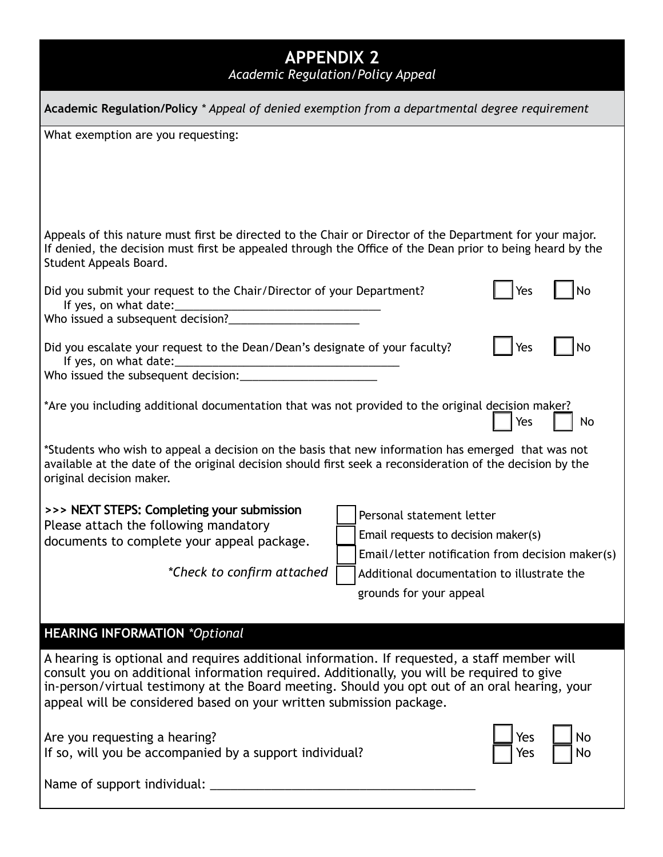| <b>APPENDIX 2</b><br>Academic Regulation/Policy Appeal                                                                                                                                                                                                                                                                                                             |                                                                                                                      |  |  |  |  |
|--------------------------------------------------------------------------------------------------------------------------------------------------------------------------------------------------------------------------------------------------------------------------------------------------------------------------------------------------------------------|----------------------------------------------------------------------------------------------------------------------|--|--|--|--|
| Academic Regulation/Policy * Appeal of denied exemption from a departmental degree requirement                                                                                                                                                                                                                                                                     |                                                                                                                      |  |  |  |  |
| What exemption are you requesting:                                                                                                                                                                                                                                                                                                                                 |                                                                                                                      |  |  |  |  |
|                                                                                                                                                                                                                                                                                                                                                                    |                                                                                                                      |  |  |  |  |
|                                                                                                                                                                                                                                                                                                                                                                    |                                                                                                                      |  |  |  |  |
| Appeals of this nature must first be directed to the Chair or Director of the Department for your major.<br>If denied, the decision must first be appealed through the Office of the Dean prior to being heard by the<br>Student Appeals Board.                                                                                                                    |                                                                                                                      |  |  |  |  |
| Did you submit your request to the Chair/Director of your Department?<br>Yes<br>No<br>Who issued a subsequent decision?                                                                                                                                                                                                                                            |                                                                                                                      |  |  |  |  |
| Did you escalate your request to the Dean/Dean's designate of your faculty?<br>Yes<br>No                                                                                                                                                                                                                                                                           |                                                                                                                      |  |  |  |  |
| *Are you including additional documentation that was not provided to the original decision maker?<br>Yes<br>No                                                                                                                                                                                                                                                     |                                                                                                                      |  |  |  |  |
| *Students who wish to appeal a decision on the basis that new information has emerged that was not<br>available at the date of the original decision should first seek a reconsideration of the decision by the<br>original decision maker.                                                                                                                        |                                                                                                                      |  |  |  |  |
| >>> NEXT STEPS: Completing your submission<br>Please attach the following mandatory<br>documents to complete your appeal package.                                                                                                                                                                                                                                  | Personal statement letter<br>Email requests to decision maker(s)<br>Email/letter notification from decision maker(s) |  |  |  |  |
| *Check to confirm attached                                                                                                                                                                                                                                                                                                                                         | Additional documentation to illustrate the                                                                           |  |  |  |  |
|                                                                                                                                                                                                                                                                                                                                                                    | grounds for your appeal                                                                                              |  |  |  |  |
| <b>HEARING INFORMATION *Optional</b>                                                                                                                                                                                                                                                                                                                               |                                                                                                                      |  |  |  |  |
| A hearing is optional and requires additional information. If requested, a staff member will<br>consult you on additional information required. Additionally, you will be required to give<br>in-person/virtual testimony at the Board meeting. Should you opt out of an oral hearing, your<br>appeal will be considered based on your written submission package. |                                                                                                                      |  |  |  |  |
| Are you requesting a hearing?<br>Yes<br>If so, will you be accompanied by a support individual?<br>Yes                                                                                                                                                                                                                                                             |                                                                                                                      |  |  |  |  |
|                                                                                                                                                                                                                                                                                                                                                                    |                                                                                                                      |  |  |  |  |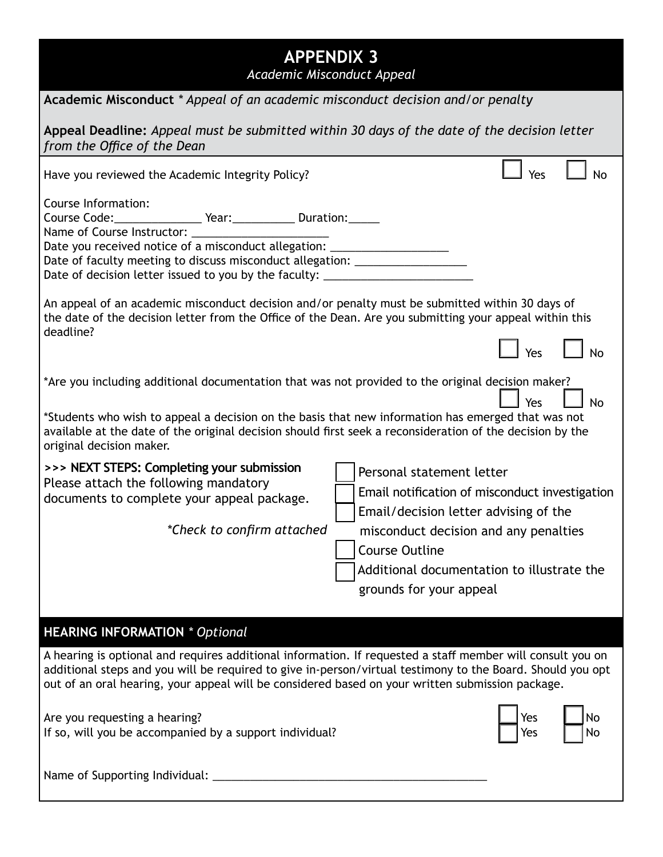| <b>APPENDIX 3</b><br>Academic Misconduct Appeal                                                                                                                                                                                                                                                                                                                      |  |  |  |  |  |
|----------------------------------------------------------------------------------------------------------------------------------------------------------------------------------------------------------------------------------------------------------------------------------------------------------------------------------------------------------------------|--|--|--|--|--|
| Academic Misconduct * Appeal of an academic misconduct decision and/or penalty                                                                                                                                                                                                                                                                                       |  |  |  |  |  |
| Appeal Deadline: Appeal must be submitted within 30 days of the date of the decision letter<br>from the Office of the Dean                                                                                                                                                                                                                                           |  |  |  |  |  |
| Yes<br><b>No</b><br>Have you reviewed the Academic Integrity Policy?                                                                                                                                                                                                                                                                                                 |  |  |  |  |  |
| Course Information:<br>Course Code: ____________________ Year: _____________ Duration: _______<br>Date you received notice of a misconduct allegation: ___________________________<br>Date of faculty meeting to discuss misconduct allegation: ______________________<br>Date of decision letter issued to you by the faculty: __________________________           |  |  |  |  |  |
| An appeal of an academic misconduct decision and/or penalty must be submitted within 30 days of<br>the date of the decision letter from the Office of the Dean. Are you submitting your appeal within this<br>deadline?                                                                                                                                              |  |  |  |  |  |
| $\perp$ Yes                                                                                                                                                                                                                                                                                                                                                          |  |  |  |  |  |
| *Are you including additional documentation that was not provided to the original decision maker?<br>Yes<br><b>No</b><br>*Students who wish to appeal a decision on the basis that new information has emerged that was not<br>available at the date of the original decision should first seek a reconsideration of the decision by the<br>original decision maker. |  |  |  |  |  |
| >>> NEXT STEPS: Completing your submission<br>Personal statement letter<br>Please attach the following mandatory<br>Email notification of misconduct investigation<br>documents to complete your appeal package.<br>Email/decision letter advising of the                                                                                                            |  |  |  |  |  |
| *Check to confirm attached<br>misconduct decision and any penalties<br><b>Course Outline</b>                                                                                                                                                                                                                                                                         |  |  |  |  |  |
| Additional documentation to illustrate the<br>grounds for your appeal                                                                                                                                                                                                                                                                                                |  |  |  |  |  |
| <b>HEARING INFORMATION * Optional</b>                                                                                                                                                                                                                                                                                                                                |  |  |  |  |  |
| A hearing is optional and requires additional information. If requested a staff member will consult you on<br>additional steps and you will be required to give in-person/virtual testimony to the Board. Should you opt<br>out of an oral hearing, your appeal will be considered based on your written submission package.                                         |  |  |  |  |  |
| Are you requesting a hearing?<br>Yes<br>No<br>If so, will you be accompanied by a support individual?<br>Yes<br>No                                                                                                                                                                                                                                                   |  |  |  |  |  |
| Name of Supporting Individual:                                                                                                                                                                                                                                                                                                                                       |  |  |  |  |  |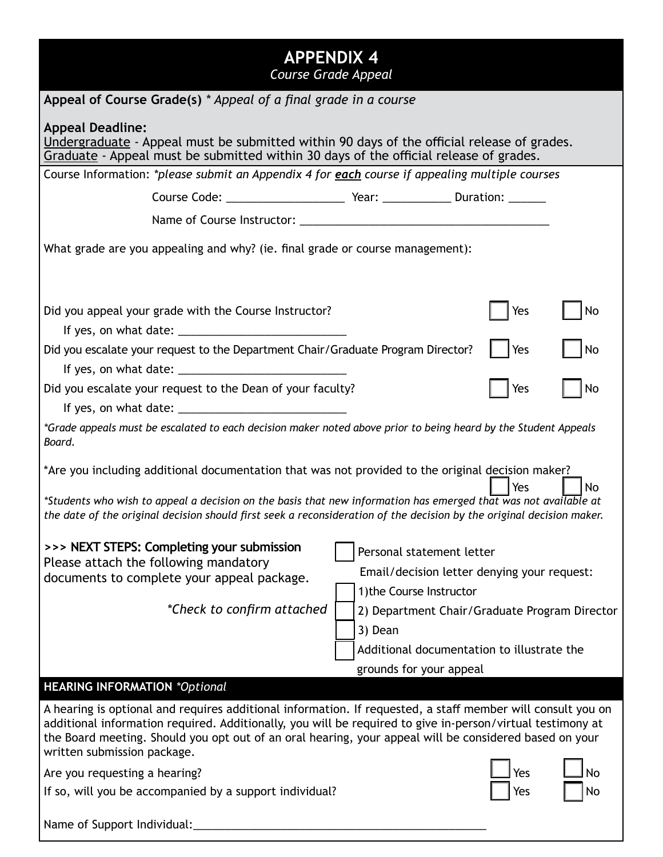| <b>APPENDIX 4</b><br>Course Grade Appeal                                                                                                                                                                                                                                                                                                                                                                   |                                               |  |  |  |  |  |  |
|------------------------------------------------------------------------------------------------------------------------------------------------------------------------------------------------------------------------------------------------------------------------------------------------------------------------------------------------------------------------------------------------------------|-----------------------------------------------|--|--|--|--|--|--|
| Appeal of Course Grade(s) * Appeal of a final grade in a course                                                                                                                                                                                                                                                                                                                                            |                                               |  |  |  |  |  |  |
| <b>Appeal Deadline:</b><br>Undergraduate - Appeal must be submitted within 90 days of the official release of grades.<br>Graduate - Appeal must be submitted within 30 days of the official release of grades.                                                                                                                                                                                             |                                               |  |  |  |  |  |  |
| Course Information: *please submit an Appendix 4 for each course if appealing multiple courses                                                                                                                                                                                                                                                                                                             |                                               |  |  |  |  |  |  |
|                                                                                                                                                                                                                                                                                                                                                                                                            |                                               |  |  |  |  |  |  |
|                                                                                                                                                                                                                                                                                                                                                                                                            |                                               |  |  |  |  |  |  |
| What grade are you appealing and why? (ie. final grade or course management):                                                                                                                                                                                                                                                                                                                              |                                               |  |  |  |  |  |  |
| Did you appeal your grade with the Course Instructor?                                                                                                                                                                                                                                                                                                                                                      | No<br>Yes                                     |  |  |  |  |  |  |
| Did you escalate your request to the Department Chair/Graduate Program Director?                                                                                                                                                                                                                                                                                                                           | Yes<br>No                                     |  |  |  |  |  |  |
|                                                                                                                                                                                                                                                                                                                                                                                                            |                                               |  |  |  |  |  |  |
| Did you escalate your request to the Dean of your faculty?                                                                                                                                                                                                                                                                                                                                                 | No<br>Yes                                     |  |  |  |  |  |  |
| *Grade appeals must be escalated to each decision maker noted above prior to being heard by the Student Appeals<br>Board.                                                                                                                                                                                                                                                                                  |                                               |  |  |  |  |  |  |
| *Are you including additional documentation that was not provided to the original decision maker?<br>Yes<br>No<br>*Students who wish to appeal a decision on the basis that new information has emerged that was not available at                                                                                                                                                                          |                                               |  |  |  |  |  |  |
| the date of the original decision should first seek a reconsideration of the decision by the original decision maker.<br>>>> NEXT STEPS: Completing your submission<br>Personal statement letter<br>Please attach the following mandatory<br>Email/decision letter denying your request:                                                                                                                   |                                               |  |  |  |  |  |  |
| documents to complete your appeal package.<br>1) the Course Instructor                                                                                                                                                                                                                                                                                                                                     |                                               |  |  |  |  |  |  |
| *Check to confirm attached                                                                                                                                                                                                                                                                                                                                                                                 | 2) Department Chair/Graduate Program Director |  |  |  |  |  |  |
| 3) Dean                                                                                                                                                                                                                                                                                                                                                                                                    |                                               |  |  |  |  |  |  |
|                                                                                                                                                                                                                                                                                                                                                                                                            | Additional documentation to illustrate the    |  |  |  |  |  |  |
|                                                                                                                                                                                                                                                                                                                                                                                                            | grounds for your appeal                       |  |  |  |  |  |  |
| <b>HEARING INFORMATION *Optional</b><br>A hearing is optional and requires additional information. If requested, a staff member will consult you on<br>additional information required. Additionally, you will be required to give in-person/virtual testimony at<br>the Board meeting. Should you opt out of an oral hearing, your appeal will be considered based on your<br>written submission package. |                                               |  |  |  |  |  |  |
| Are you requesting a hearing?                                                                                                                                                                                                                                                                                                                                                                              | Yes<br><b>No</b>                              |  |  |  |  |  |  |
| If so, will you be accompanied by a support individual?                                                                                                                                                                                                                                                                                                                                                    | Yes<br>No                                     |  |  |  |  |  |  |
| Name of Support Individual:                                                                                                                                                                                                                                                                                                                                                                                |                                               |  |  |  |  |  |  |